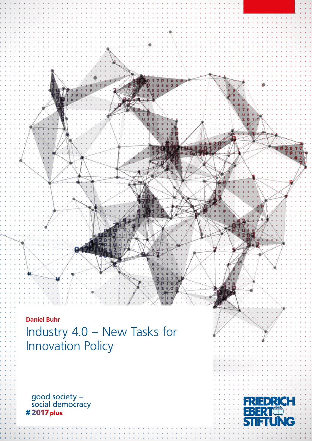**Daniel Buhr** Industry 4.0 – New Tasks for Innovation Policy

good society – social democracy # 2017 plus

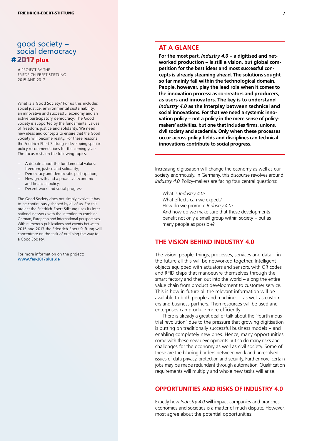# good society – social democracy # 2017 plus

A PROJECT BY THE FRIEDRICH-EBERT-STIFTUNG 2015 AND 2017

What is a Good Society? For us this includes social justice, environmental sustainability, an innovative and successful economy and an active participatory democracy. The Good Society is supported by the fundamental values of freedom, justice and solidarity. We need new ideas and concepts to ensure that the Good Society will become reality. For these reasons the Friedrich-Ebert-Stiftung is developing specific policy recommendations for the coming years. The focus rests on the following topics:

- A debate about the fundamental values: freedom, justice and solidarity;
- Democracy and democratic participation;
- New growth and a proactive economic
- and financial policy; – Decent work and social progress.

The Good Society does not simply evolve; it has to be continuously shaped by all of us. For this project the Friedrich-Ebert-Stiftung uses its international network with the intention to combine German, European and international perspectives. With numerous publications and events between 2015 and 2017 the Friedrich-Ebert-Stiftung will concentrate on the task of outlining the way to a Good Society.

For more information on the project: **www.fes-2017plus.de**

### **AT A GLANCE**

**For the most part,** *Industry 4.0* **– a digitised and networked production – is still a vision, but global competition for the best ideas and most successful concepts is already steaming ahead. The solutions sought so far mainly fall within the technological domain. People, however, play the lead role when it comes to the innovation process: as co-creators and producers, as users and innovators. The key is to understand**  *Industry 4.0* **as the interplay between technical and social innovations. For that we need a systemic innovation policy – not a policy in the mere sense of policymakers' activities, but one that includes firms, unions, civil society and academia. Only when these processes occur across policy fields and disciplines can technical innovations contribute to social progress.** 

Increasing digitisation will change the economy as well as our society enormously. In Germany, this discourse revolves around *Industry 4.0*. Policy-makers are facing four central questions:

- What is *Industry 4.0*?
- What effects can we expect?
- How do we promote *Industry 4.0*?
- And how do we make sure that these developments benefit not only a small group within society – but as many people as possible?

#### **THE VISION BEHIND INDUSTRY 4.0**

The vision: people, things, processes, services and data – in the future all this will be networked together. Intelligent objects equipped with actuators and sensors, with QR codes and RFID chips that manoeuvre themselves through the smart factory and then out into the world – along the entire value chain from product development to customer service. This is how in future all the relevant information will be available to both people and machines – as well as customers and business partners. Then resources will be used and enterprises can produce more efficiently.

There is already a great deal of talk about the "fourth industrial revolution" due to the pressure that growing digitisation is putting on traditionally successful business models – and enabling completely new ones. Hence, many opportunities come with these new developments but so do many risks and challenges for the economy as well as civil society. Some of these are the blurring borders between work and unresolved issues of data privacy, protection and security. Furthermore, certain jobs may be made redundant through automation. Qualification requirements will multiply and whole new tasks will arise.

## **OPPORTUNITIES AND RISKS OF INDUSTRY 4.0**

Exactly how *Industry 4.0* will impact companies and branches, economies and societies is a matter of much dispute. However, most agree about the potential opportunities: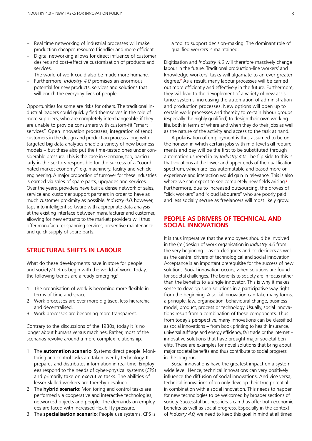- Real time networking of industrial processes will make production cheaper, resource friendlier and more efficient.
- Digital networking allows for direct influence of customer desires and cost-effective customisation of products and services.
- The world of work could also be made more humane.
- Furthermore, *Industry 4.0* promises an enormous potential for new products, services and solutions that will enrich the everyday lives of people.

Opportunities for some are risks for others. The traditional industrial leaders could quickly find themselves in the role of mere suppliers, who are completely interchangeable, if they are unable to provide consumers with custom-fit "smart services". Open innovation processes, integration of (end) customers in the design and production process along with targeted big data analytics enable a variety of new business models – but these also put the time-tested ones under considerable pressure. This is the case in Germany, too, particularly in the sectors responsible for the success of a "coordinated market economy", e.g. machinery, facility and vehicle engineering. A major proportion of turnover for these industries is earned via sales of spare parts, upgrades and services. Over the years, providers have built a dense network of sales, service and customer support partners in order to have as much customer proximity as possible. *Industry 4.0*, however, taps into intelligent software with appropriate data analysis at the existing interface between manufacturer and customer, allowing for new entrants to the market: providers will thus offer manufacturer-spanning services, preventive maintenance and quick supply of spare parts.

## **STRUCTURAL SHIFTS IN LABOUR**

What do these developments have in store for people and society? Let us begin with the world of work. Today, the following trends are already emerging:**<sup>1</sup>**

- 1 The organisation of work is becoming more flexible in terms of time and space.
- 2 Work processes are ever more digitised, less hierarchic and decentralised.
- 3 Work processes are becoming more transparent.

Contrary to the discussions of the 1980s, today it is no longer about humans versus machines. Rather, most of the scenarios revolve around a more complex relationship.

- 1 The **automation scenario**: Systems direct people. Monitoring and control tasks are taken over by technology. It prepares and distributes information in real time. Employees respond to the needs of cyber-physical systems (CPS) and primarily take on executive tasks. The abilities of lesser skilled workers are thereby devalued.
- 2 The **hybrid scenario**: Monitoring and control tasks are performed via cooperative and interactive technologies, networked objects and people. The demands on employees are faced with increased flexibility pressure.
- 3 The **specialisation scenario**: People use systems. CPS is

a tool to support decision-making. The dominant role of qualified workers is maintained.

Digitisation and *Industry 4.0* will therefore massively change labour in the future. Traditional production-line workers' and knowledge workers' tasks will algamate to an ever greater degree.**<sup>2</sup>** As a result, many labour processes will be carried out more efficiently and effectively in the future. Furthermore, they will lead to the devoplement of a variety of new assistance systems, increasing the automation of administration and production processes. New options will open up to certain work processes and thereby to certain labour groups (especially the highly qualified) to design their own working life, both in terms of where and when they do their jobs as well as the nature of the activity and access to the task at hand.

A polarisation of employment is thus assumed to be on the horizon in which certain jobs with mid-level skill requirements and pay will be the first to be substituted through automation ushered in by *Industry 4.0*. The flip side to this is that vocations at the lower and upper ends of the qualification spectrum, which are less automatable and based more on experience and interaction would gain in relevance. This is also where we can expect to see completely new fields arising.**<sup>3</sup>** Furthermore, due to increased outsourcing, the droves of "click workers" and "cloud labourers" who are poorly paid and less socially secure as freelancers will most likely grow.

#### **PEOPLE AS DRIVERS OF TECHNICAL AND SOCIAL INNOVATIONS**

It is thus imperative that the employees should be involved in the (re-)design of work organisation in *Industry 4.0* from the very beginning – as co-designers and co-deciders as well as the central drivers of technological and social innovation. Acceptance is an important prerequisite for the success of new solutions. Social innovation occurs, when solutions are found for societal challenges. The benefits to society are in focus rather than the benefits to a single innovator. This is why it makes sense to develop such solutions in a participative way right from the beginning. A social innovation can take many forms, a principle, law, organisation, behavioural change, business model, product, process or technology. Usually, social innovations result from a combination of these components. Thus from today's perspective, many innovations can be classified as social innovations – from book printing to health insurance, universal suffrage and energy efficiency, fair trade or the Internet – innovative solutions that have brought major societal benefits. These are examples for novel solutions that bring about major societal benefits and thus contribute to social progress in the long-run.

Social innovations have the greatest impact on a systemwide level. Hence, technical innovations can very positively influence the diffusion of social innovations. And vice versa, technical innovations often only develop their true potential in combination with a social innovation. This needs to happen for new technologies to be welcomed by broader sections of society. Successful business ideas can thus offer both economic benefits as well as social progress. Especially in the context of *Industry 4.0,* we need to keep this goal in mind at all times